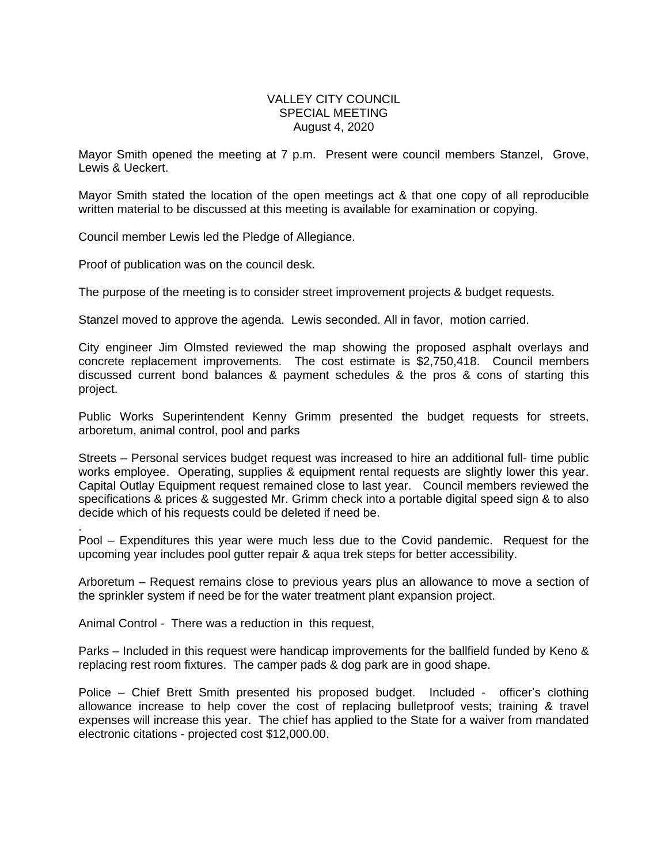## VALLEY CITY COUNCIL SPECIAL MEETING August 4, 2020

Mayor Smith opened the meeting at 7 p.m. Present were council members Stanzel, Grove, Lewis & Ueckert.

Mayor Smith stated the location of the open meetings act & that one copy of all reproducible written material to be discussed at this meeting is available for examination or copying.

Council member Lewis led the Pledge of Allegiance.

Proof of publication was on the council desk.

The purpose of the meeting is to consider street improvement projects & budget requests.

Stanzel moved to approve the agenda. Lewis seconded. All in favor, motion carried.

City engineer Jim Olmsted reviewed the map showing the proposed asphalt overlays and concrete replacement improvements. The cost estimate is \$2,750,418. Council members discussed current bond balances & payment schedules & the pros & cons of starting this project.

Public Works Superintendent Kenny Grimm presented the budget requests for streets, arboretum, animal control, pool and parks

Streets – Personal services budget request was increased to hire an additional full- time public works employee. Operating, supplies & equipment rental requests are slightly lower this year. Capital Outlay Equipment request remained close to last year. Council members reviewed the specifications & prices & suggested Mr. Grimm check into a portable digital speed sign & to also decide which of his requests could be deleted if need be.

. Pool – Expenditures this year were much less due to the Covid pandemic. Request for the upcoming year includes pool gutter repair & aqua trek steps for better accessibility.

Arboretum – Request remains close to previous years plus an allowance to move a section of the sprinkler system if need be for the water treatment plant expansion project.

Animal Control - There was a reduction in this request,

Parks – Included in this request were handicap improvements for the ballfield funded by Keno & replacing rest room fixtures. The camper pads & dog park are in good shape.

Police – Chief Brett Smith presented his proposed budget. Included - officer's clothing allowance increase to help cover the cost of replacing bulletproof vests; training & travel expenses will increase this year. The chief has applied to the State for a waiver from mandated electronic citations - projected cost \$12,000.00.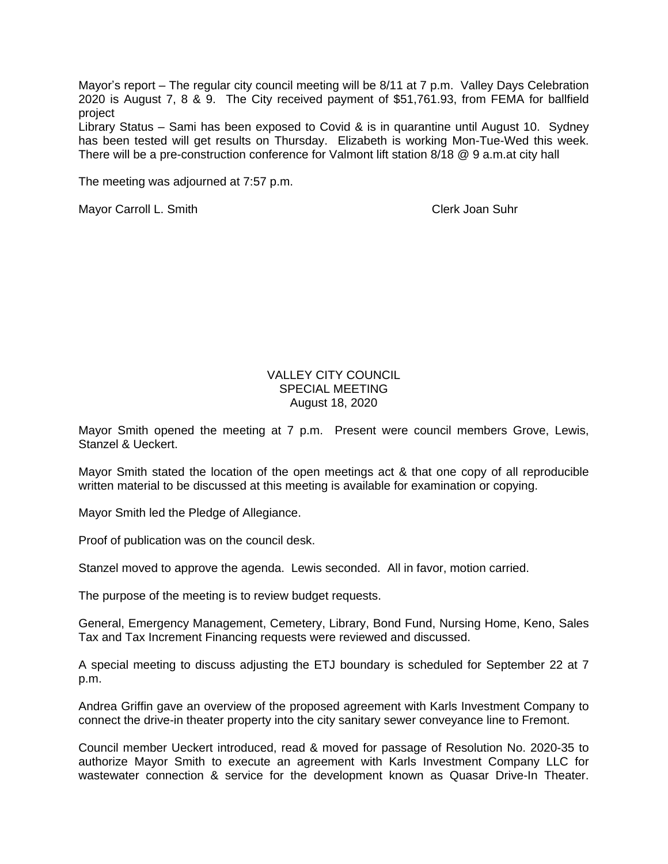Mayor's report – The regular city council meeting will be 8/11 at 7 p.m. Valley Days Celebration 2020 is August 7, 8 & 9. The City received payment of \$51,761.93, from FEMA for ballfield project

Library Status – Sami has been exposed to Covid & is in quarantine until August 10. Sydney has been tested will get results on Thursday. Elizabeth is working Mon-Tue-Wed this week. There will be a pre-construction conference for Valmont lift station 8/18 @ 9 a.m.at city hall

The meeting was adjourned at 7:57 p.m.

Mayor Carroll L. Smith Clerk Joan Suhr

## VALLEY CITY COUNCIL SPECIAL MEETING August 18, 2020

Mayor Smith opened the meeting at 7 p.m. Present were council members Grove, Lewis, Stanzel & Ueckert.

Mayor Smith stated the location of the open meetings act & that one copy of all reproducible written material to be discussed at this meeting is available for examination or copying.

Mayor Smith led the Pledge of Allegiance.

Proof of publication was on the council desk.

Stanzel moved to approve the agenda. Lewis seconded. All in favor, motion carried.

The purpose of the meeting is to review budget requests.

General, Emergency Management, Cemetery, Library, Bond Fund, Nursing Home, Keno, Sales Tax and Tax Increment Financing requests were reviewed and discussed.

A special meeting to discuss adjusting the ETJ boundary is scheduled for September 22 at 7 p.m.

Andrea Griffin gave an overview of the proposed agreement with Karls Investment Company to connect the drive-in theater property into the city sanitary sewer conveyance line to Fremont.

Council member Ueckert introduced, read & moved for passage of Resolution No. 2020-35 to authorize Mayor Smith to execute an agreement with Karls Investment Company LLC for wastewater connection & service for the development known as Quasar Drive-In Theater.